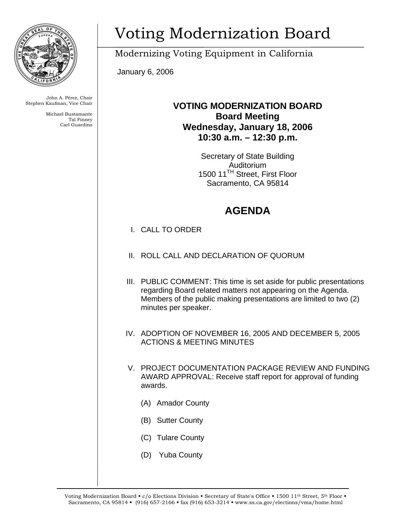

John A. Pérez, Chair Stephen Kaufman, Vice Chair

> Michael Bustamante Tal Finney Carl Guardino

# Voting Modernization Board

Modernizing Voting Equipment in California

January 6, 2006

### **VOTING MODERNIZATION BOARD Board Meeting Wednesday, January 18, 2006 10:30 a.m. – 12:30 p.m.**

Secretary of State Building Auditorium 1500 11<sup>TH</sup> Street, First Floor Sacramento, CA 95814

## **AGENDA**

- I. CALL TO ORDER
- II. ROLL CALL AND DECLARATION OF QUORUM
- III. PUBLIC COMMENT: This time is set aside for public presentations regarding Board related matters not appearing on the Agenda. Members of the public making presentations are limited to two (2) minutes per speaker.
- IV. ADOPTION OF NOVEMBER 16, 2005 AND DECEMBER 5, 2005 ACTIONS & MEETING MINUTES
- V. PROJECT DOCUMENTATION PACKAGE REVIEW AND FUNDING AWARD APPROVAL: Receive staff report for approval of funding awards.
	- (A) Amador County
	- (B) Sutter County
	- (C) Tulare County
	- (D) Yuba County